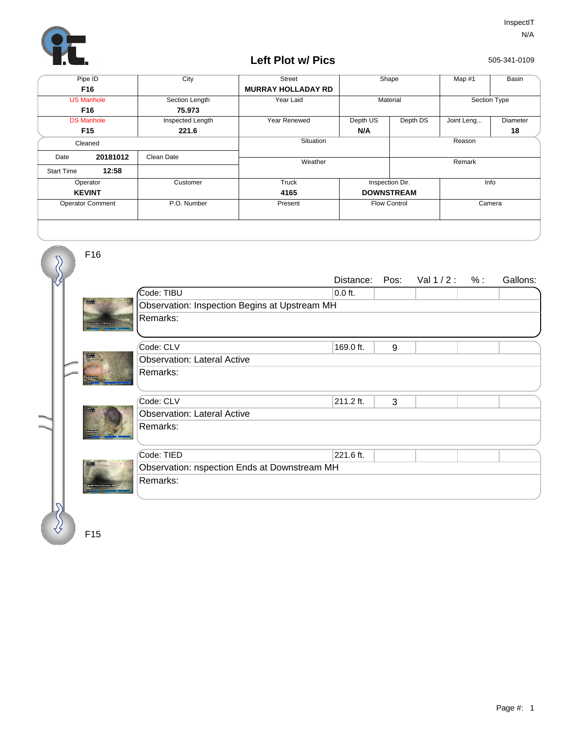

## **Left Plot w/ Pics**

505-341-0109

| Pipe ID                 |          | City             | <b>Street</b>             | Shape               |          | Map #1       | Basin    |
|-------------------------|----------|------------------|---------------------------|---------------------|----------|--------------|----------|
| F16                     |          |                  | <b>MURRAY HOLLADAY RD</b> |                     |          |              |          |
| <b>US Manhole</b>       |          | Section Length   | Year Laid                 | Material            |          | Section Type |          |
| F16                     |          | 75.973           |                           |                     |          |              |          |
| <b>DS Manhole</b>       |          | Inspected Length | Year Renewed              | Depth US            | Depth DS | Joint Leng   | Diameter |
| F <sub>15</sub>         |          | 221.6            |                           | N/A                 |          |              | 18       |
| Cleaned                 |          |                  | Situation                 |                     | Reason   |              |          |
| Date                    | 20181012 | Clean Date       | Weather                   |                     |          | Remark       |          |
| <b>Start Time</b>       | 12:58    |                  |                           |                     |          |              |          |
| Operator                |          | Customer         | Truck                     | Inspection Dir.     |          | Info         |          |
| <b>KEVINT</b>           |          |                  | 4165                      | <b>DOWNSTREAM</b>   |          |              |          |
| <b>Operator Comment</b> |          | P.O. Number      | Present                   | <b>Flow Control</b> |          | Camera       |          |
|                         |          |                  |                           |                     |          |              |          |



F15

F16